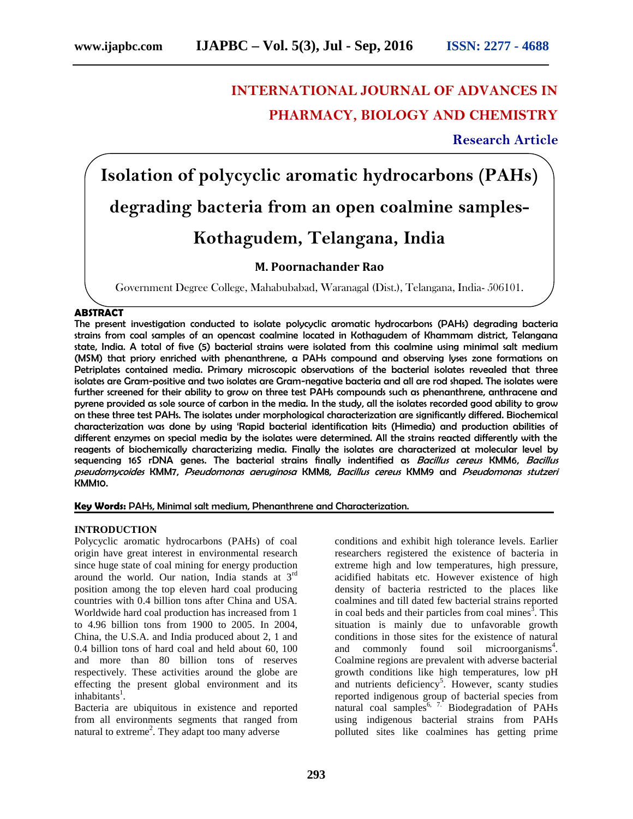## **INTERNATIONAL JOURNAL OF ADVANCES IN PHARMACY, BIOLOGY AND CHEMISTRY**

**Research Article**

# **Isolation of polycyclic aromatic hydrocarbons (PAHs) degrading bacteria from an open coalmine samples- Kothagudem, Telangana, India**

### **M. Poornachander Rao**

Government Degree College, Mahabubabad, Waranagal (Dist.), Telangana, India- 506101.

#### **ABSTRACT**

The present investigation conducted to isolate polycyclic aromatic hydrocarbons (PAHs) degrading bacteria strains from coal samples of an opencast coalmine located in Kothagudem of Khammam district, Telangana state, India. A total of five (5) bacterial strains were isolated from this coalmine using minimal salt medium (MSM) that priory enriched with phenanthrene, a PAHs compound and observing lyses zone formations on Petriplates contained media. Primary microscopic observations of the bacterial isolates revealed that three isolates are Gram-positive and two isolates are Gram-negative bacteria and all are rod shaped. The isolates were further screened for their ability to grow on three test PAHs compounds such as phenanthrene, anthracene and pyrene provided as sole source of carbon in the media. In the study, all the isolates recorded good ability to grow on these three test PAHs. The isolates under morphological characterization are significantly differed. Biochemical characterization was done by using 'Rapid bacterial identification kits (Himedia) and production abilities of different enzymes on special media by the isolates were determined. All the strains reacted differently with the reagents of biochemically characterizing media. Finally the isolates are characterized at molecular level by sequencing 16S rDNA genes. The bacterial strains finally indentified as *Bacillus cereus* KMM6, *Bacillus pseudomycoides* KMM7, *Pseudomonas aeruginosa* KMM8, *Bacillus cereus* KMM9 and *Pseudomonas stutzeri* KMM10.

**Key Words:** PAHs, Minimal salt medium, Phenanthrene and Characterization.

#### **INTRODUCTION**

Polycyclic aromatic hydrocarbons (PAHs) of coal origin have great interest in environmental research since huge state of coal mining for energy production around the world. Our nation, India stands at 3rd position among the top eleven hard coal producing countries with 0.4 billion tons after China and USA. Worldwide hard coal production has increased from 1 to 4.96 billion tons from 1900 to 2005. In 2004, China, the U.S.A. and India produced about 2, 1 and 0.4 billion tons of hard coal and held about 60, 100 and more than 80 billion tons of reserves respectively. These activities around the globe are effecting the present global environment and its inhabitants<sup>1</sup>.

Bacteria are ubiquitous in existence and reported from all environments segments that ranged from natural to extreme<sup>2</sup>. They adapt too many adverse conditions and exhibit high tolerance levels. Earlier researchers registered the existence of bacteria in extreme high and low temperatures, high pressure, acidified habitats etc. However existence of high density of bacteria restricted to the places like coalmines and till dated few bacterial strains reported in coal beds and their particles from coal mines $^3$ . This situation is mainly due to unfavorable growth conditions in those sites for the existence of natural and commonly found soil microorganisms<sup>4</sup>. Coalmine regions are prevalent with adverse bacterial growth conditions like high temperatures, low pH and nutrients deficiency<sup>5</sup>. However, scanty studies reported indigenous group of bacterial species from natural coal samples<sup>6, 7.</sup> Biodegradation of PAHs using indigenous bacterial strains from PAHs polluted sites like coalmines has getting prime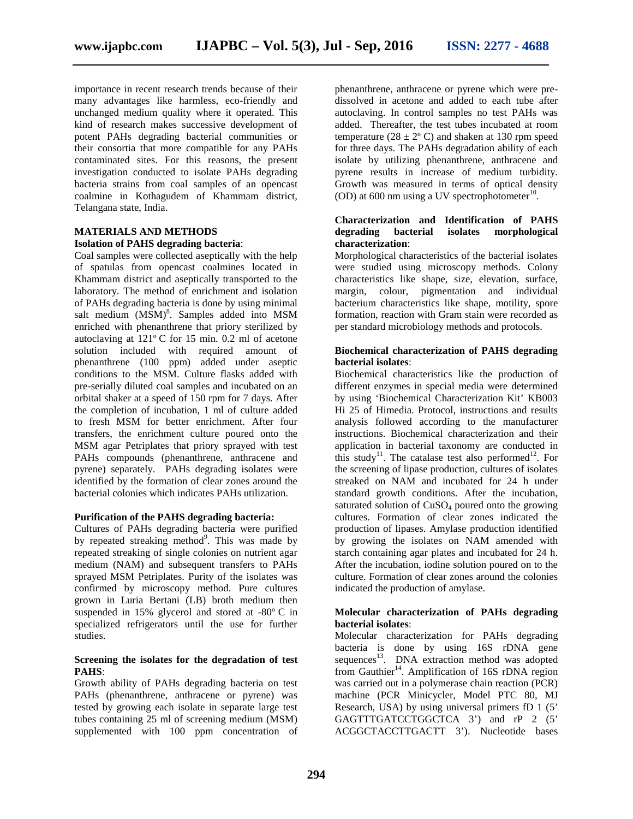importance in recent research trends because of their many advantages like harmless, eco-friendly and unchanged medium quality where it operated. This kind of research makes successive development of potent PAHs degrading bacterial communities or their consortia that more compatible for any PAHs contaminated sites. For this reasons, the present investigation conducted to isolate PAHs degrading bacteria strains from coal samples of an opencast coalmine in Kothagudem of Khammam district, Telangana state, India.

#### **MATERIALS AND METHODS Isolation of PAHS degrading bacteria**:

Coal samples were collected aseptically with the help of spatulas from opencast coalmines located in Khammam district and aseptically transported to the laboratory. The method of enrichment and isolation margin, of PAHs degrading bacteria is done by using minimal salt medium (MSM)<sup>8</sup>. Samples added into MSM formati enriched with phenanthrene that priory sterilized by autoclaving at 121º C for 15 min. 0.2 ml of acetone solution included with required amount of phenanthrene (100 ppm) added under aseptic conditions to the MSM. Culture flasks added with pre-serially diluted coal samples and incubated on an orbital shaker at a speed of 150 rpm for 7 days. After the completion of incubation, 1 ml of culture added to fresh MSM for better enrichment. After four transfers, the enrichment culture poured onto the MSM agar Petriplates that priory sprayed with test PAHs compounds (phenanthrene, anthracene and pyrene) separately. PAHs degrading isolates were identified by the formation of clear zones around the bacterial colonies which indicates PAHs utilization.

#### **Purification of the PAHS degrading bacteria:**

Cultures of PAHs degrading bacteria were purified by repeated streaking method<sup>9</sup>. This was made by repeated streaking of single colonies on nutrient agar medium (NAM) and subsequent transfers to PAHs sprayed MSM Petriplates. Purity of the isolates was confirmed by microscopy method. Pure cultures grown in Luria Bertani (LB) broth medium then suspended in 15% glycerol and stored at -80º C in specialized refrigerators until the use for further studies.

#### **Screening the isolates for the degradation of test PAHS**:

Growth ability of PAHs degrading bacteria on test PAHs (phenanthrene, anthracene or pyrene) was tested by growing each isolate in separate large test tubes containing 25 ml of screening medium (MSM) supplemented with 100 ppm concentration of

phenanthrene, anthracene or pyrene which were pre dissolved in acetone and added to each tube after autoclaving. In control samples no test PAHs was added. Thereafter, the test tubes incubated at room temperature ( $28 \pm 2^{\circ}$  C) and shaken at 130 rpm speed for three days. The PAHs degradation ability of each isolate by utilizing phenanthrene, anthracene and pyrene results in increase of medium turbidity. Growth was measured in terms of optical density (OD) at 600 nm using a UV spectrophotometer $^{10}$ .

#### **Characterization and Identification of PAHS degrading bacterial isolates morphological characterization**:

Morphological characteristics of the bacterial isolates were studied using microscopy methods. Colony characteristics like shape, size, elevation, surface, colour, pigmentation and individual bacterium characteristics like shape, motility, spore formation, reaction with Gram stain were recorded as per standard microbiology methods and protocols.

#### **Biochemical characterization of PAHS degrading bacterial isolates**:

Biochemical characteristics like the production of different enzymes in special media were determined by using 'Biochemical Characterization Kit' KB003 Hi 25 of Himedia. Protocol, instructions and results analysis followed according to the manufacturer instructions. Biochemical characterization and their application in bacterial taxonomy are conducted in this study<sup>11</sup>. The catalase test also performed<sup>12</sup>. For the screening of lipase production, cultures of isolates streaked on NAM and incubated for 24 h under standard growth conditions. After the incubation, saturated solution of  $CuSO<sub>4</sub>$  poured onto the growing cultures. Formation of clear zones indicated the production of lipases. Amylase production identified by growing the isolates on NAM amended with starch containing agar plates and incubated for 24 h. After the incubation, iodine solution poured on to the culture. Formation of clear zones around the colonies indicated the production of amylase.

#### **Molecular characterization of PAHs degrading bacterial isolates**:

Molecular characterization for PAHs degrading bacteria is done by using 16S rDNA gene sequences<sup>13</sup>. DNA extraction method was adopted from Gauthier<sup>14</sup>. Amplification of 16S rDNA region was carried out in a polymerase chain reaction (PCR) machine (PCR Minicycler, Model PTC 80, MJ Research, USA) by using universal primers fD 1 (5' GAGTTTGATCCTGGCTCA 3') and rP 2 (5' ACGGCTACCTTGACTT 3'). Nucleotide bases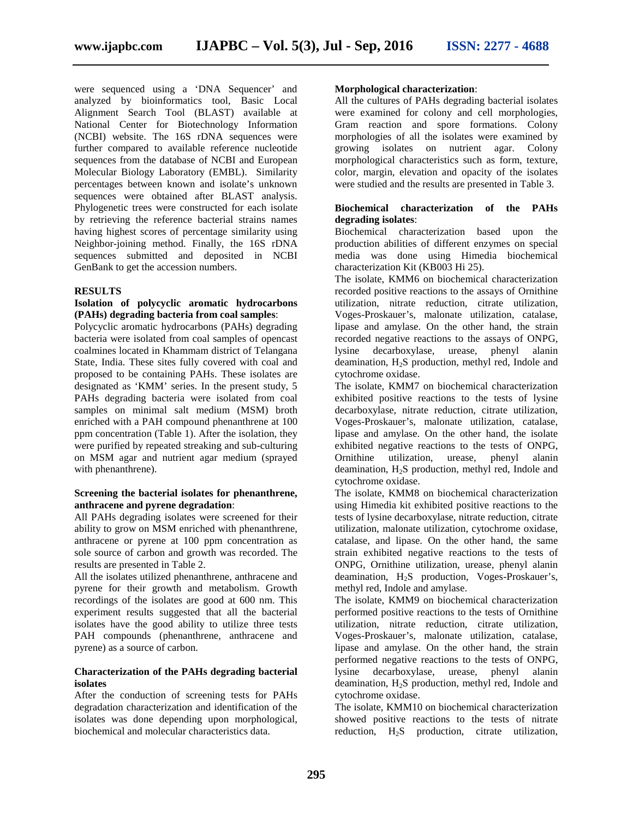were sequenced using a 'DNA Sequencer' and analyzed by bioinformatics tool, Basic Local Alignment Search Tool (BLAST) available at National Center for Biotechnology Information (NCBI) website. The 16S rDNA sequences were further compared to available reference nucleotide sequences from the database of NCBI and European Molecular Biology Laboratory (EMBL). Similarity percentages between known and isolate's unknown sequences were obtained after BLAST analysis. Phylogenetic trees were constructed for each isolate by retrieving the reference bacterial strains names having highest scores of percentage similarity using Neighbor-joining method. Finally, the 16S rDNA sequences submitted and deposited in NCBI GenBank to get the accession numbers.

#### **RESULTS**

#### **Isolation of polycyclic aromatic hydrocarbons (PAHs) degrading bacteria from coal samples**:

Polycyclic aromatic hydrocarbons (PAHs) degrading bacteria were isolated from coal samples of opencast coalmines located in Khammam district of Telangana State, India. These sites fully covered with coal and proposed to be containing PAHs. These isolates are designated as 'KMM' series. In the present study, 5 PAHs degrading bacteria were isolated from coal samples on minimal salt medium (MSM) broth enriched with a PAH compound phenanthrene at 100 ppm concentration (Table 1). After the isolation, they were purified by repeated streaking and sub-culturing on MSM agar and nutrient agar medium (sprayed with phenanthrene).

#### **Screening the bacterial isolates for phenanthrene, anthracene and pyrene degradation**:

All PAHs degrading isolates were screened for their ability to grow on MSM enriched with phenanthrene, anthracene or pyrene at 100 ppm concentration as sole source of carbon and growth was recorded. The results are presented in Table 2.

All the isolates utilized phenanthrene, anthracene and pyrene for their growth and metabolism. Growth recordings of the isolates are good at 600 nm. This experiment results suggested that all the bacterial isolates have the good ability to utilize three tests PAH compounds (phenanthrene, anthracene and pyrene) as a source of carbon.

#### **Characterization of the PAHs degrading bacterial isolates**

After the conduction of screening tests for PAHs degradation characterization and identification of the isolates was done depending upon morphological, biochemical and molecular characteristics data.

#### **Morphological characterization**:

All the cultures of PAHs degrading bacterial isolates were examined for colony and cell morphologies, Gram reaction and spore formations. Colony morphologies of all the isolates were examined by growing isolates on nutrient agar. Colony morphological characteristics such as form, texture, color, margin, elevation and opacity of the isolates were studied and the results are presented in Table 3.

#### **Biochemical characterization of the PAHs degrading isolates**:

Biochemical characterization based upon the production abilities of different enzymes on special media was done using Himedia biochemical characterization Kit (KB003 Hi 25).

The isolate, KMM6 on biochemical characterization recorded positive reactions to the assays of Ornithine utilization, nitrate reduction, citrate utilization, Voges-Proskauer's, malonate utilization, catalase, lipase and amylase. On the other hand, the strain recorded negative reactions to the assays of ONPG, lysine decarboxylase, urease, phenyl alanin deamination, H2S production, methyl red, Indole and cytochrome oxidase.

The isolate, KMM7 on biochemical characterization exhibited positive reactions to the tests of lysine decarboxylase, nitrate reduction, citrate utilization, Voges-Proskauer's, malonate utilization, catalase, lipase and amylase. On the other hand, the isolate exhibited negative reactions to the tests of ONPG, Ornithine utilization, urease, phenyl alanin deamination, H2S production, methyl red, Indole and cytochrome oxidase.

The isolate, KMM8 on biochemical characterization using Himedia kit exhibited positive reactions to the tests of lysine decarboxylase, nitrate reduction, citrate utilization, malonate utilization, cytochrome oxidase, catalase, and lipase. On the other hand, the same strain exhibited negative reactions to the tests of ONPG, Ornithine utilization, urease, phenyl alanin deamination, H<sub>2</sub>S production, Voges-Proskauer's, methyl red, Indole and amylase.

The isolate, KMM9 on biochemical characterization performed positive reactions to the tests of Ornithine utilization, nitrate reduction, citrate utilization, Voges-Proskauer's, malonate utilization, catalase, lipase and amylase. On the other hand, the strain performed negative reactions to the tests of ONPG, lysine decarboxylase, urease, phenyl alanin deamination, H2S production, methyl red, Indole and cytochrome oxidase.

The isolate, KMM10 on biochemical characterization showed positive reactions to the tests of nitrate reduction, H<sub>2</sub>S production, citrate utilization,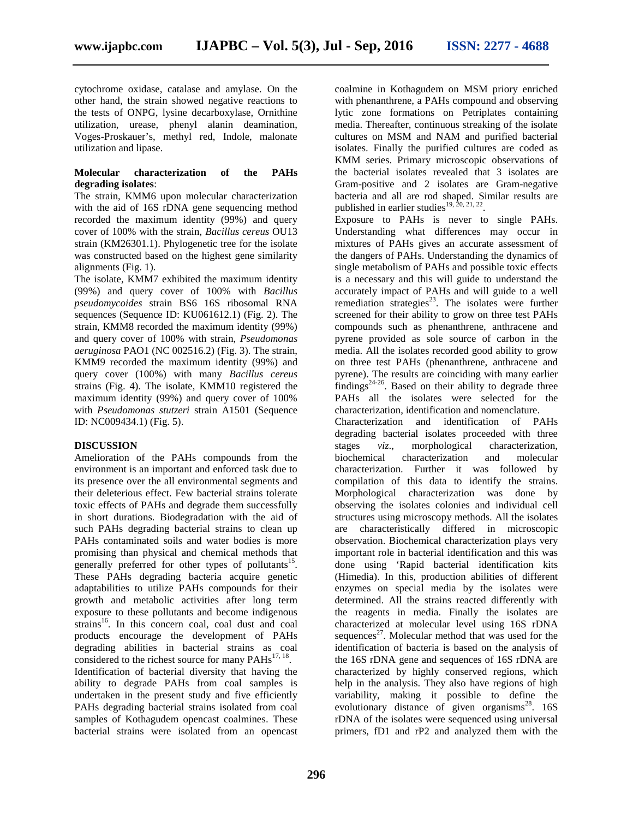cytochrome oxidase, catalase and amylase. On the other hand, the strain showed negative reactions to the tests of ONPG, lysine decarboxylase, Ornithine utilization, urease, phenyl alanin deamination, Voges-Proskauer's, methyl red, Indole, malonate utilization and lipase.

#### **Molecular characterization of the PAHs degrading isolates**:

The strain, KMM6 upon molecular characterization with the aid of 16S rDNA gene sequencing method recorded the maximum identity (99%) and query cover of 100% with the strain, *Bacillus cereus* OU13 strain (KM26301.1). Phylogenetic tree for the isolate was constructed based on the highest gene similarity alignments (Fig. 1).

The isolate, KMM7 exhibited the maximum identity (99%) and query cover of 100% with *Bacillus pseudomycoides* strain BS6 16S ribosomal RNA sequences (Sequence ID: KU061612.1) (Fig. 2). The strain, KMM8 recorded the maximum identity (99%) and query cover of 100% with strain, *Pseudomonas aeruginosa* PAO1 (NC 002516.2) (Fig. 3). The strain, KMM9 recorded the maximum identity (99%) and query cover (100%) with many *Bacillus cereus* strains (Fig. 4). The isolate, KMM10 registered the maximum identity (99%) and query cover of 100% with *Pseudomonas stutzeri* strain A1501 (Sequence ID: NC009434.1) (Fig. 5).

#### **DISCUSSION**

Amelioration of the PAHs compounds from the environment is an important and enforced task due to its presence over the all environmental segments and their deleterious effect. Few bacterial strains tolerate toxic effects of PAHs and degrade them successfully in short durations. Biodegradation with the aid of such PAHs degrading bacterial strains to clean up PAHs contaminated soils and water bodies is more promising than physical and chemical methods that generally preferred for other types of pollutants<sup>15</sup>. These PAHs degrading bacteria acquire genetic adaptabilities to utilize PAHs compounds for their growth and metabolic activities after long term exposure to these pollutants and become indigenous strains<sup>16</sup>. In this concern coal, coal dust and coal products encourage the development of PAHs degrading abilities in bacterial strains as coal considered to the richest source for many  $PAHs^{17, 18}$ . Identification of bacterial diversity that having the ability to degrade PAHs from coal samples is undertaken in the present study and five efficiently PAHs degrading bacterial strains isolated from coal samples of Kothagudem opencast coalmines. These bacterial strains were isolated from an opencast

coalmine in Kothagudem on MSM priory enriched with phenanthrene, a PAHs compound and observing lytic zone formations on Petriplates containing media. Thereafter, continuous streaking of the isolate cultures on MSM and NAM and purified bacterial isolates. Finally the purified cultures are coded as KMM series. Primary microscopic observations of the bacterial isolates revealed that 3 isolates are Gram-positive and 2 isolates are Gram-negative bacteria and all are rod shaped. Similar results are published in earlier studies $^{19, 20, 21, 22}$ .

Exposure to PAHs is never to single PAHs. Understanding what differences may occur in mixtures of PAHs gives an accurate assessment of the dangers of PAHs. Understanding the dynamics of single metabolism of PAHs and possible toxic effects is a necessary and this will guide to understand the accurately impact of PAHs and will guide to a well remediation strategies<sup>23</sup>. The isolates were further screened for their ability to grow on three test PAHs compounds such as phenanthrene, anthracene and pyrene provided as sole source of carbon in the media. All the isolates recorded good ability to grow on three test PAHs (phenanthrene, anthracene and pyrene). The results are coinciding with many earlier  $\frac{\text{finding}}{24-26}$ . Based on their ability to degrade three PAHs all the isolates were selected for the characterization, identification and nomenclature. Characterization and identification of PAHs degrading bacterial isolates proceeded with three

stages *viz*., morphological characterization, biochemical characterization and molecular characterization. Further it was followed by compilation of this data to identify the strains. Morphological characterization was done by observing the isolates colonies and individual cell structures using microscopy methods. All the isolates are characteristically differed in microscopic observation. Biochemical characterization plays very important role in bacterial identification and this was done using 'Rapid bacterial identification kits (Himedia). In this, production abilities of different enzymes on special media by the isolates were determined. All the strains reacted differently with the reagents in media. Finally the isolates are characterized at molecular level using 16S rDNA sequences<sup>27</sup>. Molecular method that was used for the identification of bacteria is based on the analysis of the 16S rDNA gene and sequences of 16S rDNA are characterized by highly conserved regions, which help in the analysis. They also have regions of high variability, making it possible to define the evolutionary distance of given organisms<sup>28</sup>. 16S rDNA of the isolates were sequenced using universal primers, fD1 and rP2 and analyzed them with the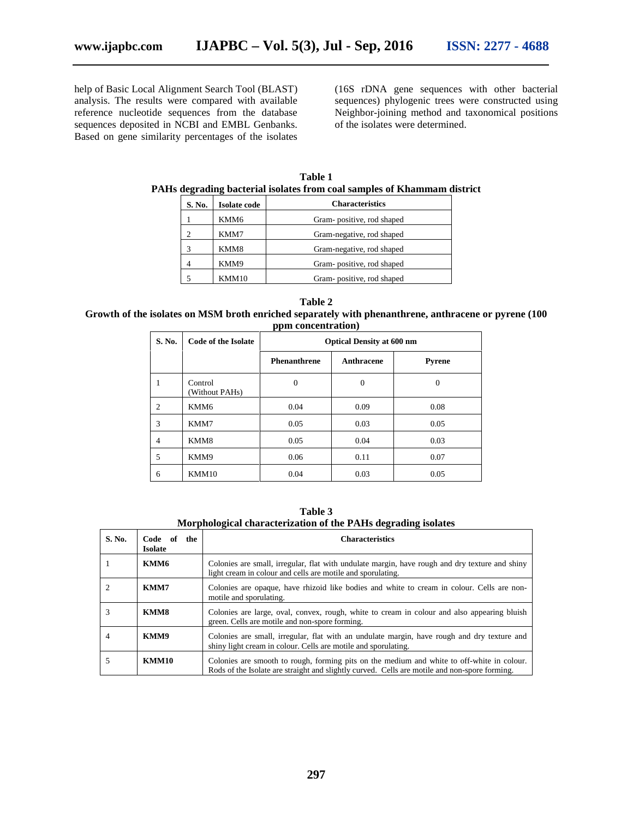help of Basic Local Alignment Search Tool (BLAST) analysis. The results were compared with available reference nucleotide sequences from the database sequences deposited in NCBI and EMBL Genbanks. Based on gene similarity percentages of the isolates (16S rDNA gene sequences with other bacterial sequences) phylogenic trees were constructed using Neighbor-joining method and taxonomical positions of the isolates were determined.

**Table 1 PAHs degrading bacterial isolates from coal samples of Khammam district**

| S. No. | Isolate code | <b>Characteristics</b>    |
|--------|--------------|---------------------------|
|        | KMM6         | Gram-positive, rod shaped |
|        | KMM7         | Gram-negative, rod shaped |
|        | KMM8         | Gram-negative, rod shaped |
|        | KMM9         | Gram-positive, rod shaped |
|        |              | Gram-positive, rod shaped |

**Table 2 Growth of the isolates on MSM broth enriched separately with phenanthrene, anthracene or pyrene (100 ppm concentration)**

| S. No. | <b>Code of the Isolate</b> | <b>Optical Density at 600 nm</b> |              |               |
|--------|----------------------------|----------------------------------|--------------|---------------|
|        |                            | <b>Phenanthrene</b>              | Anthracene   | <b>Pyrene</b> |
|        | Control<br>(Without PAHs)  | $\mathbf{0}$                     | $\mathbf{0}$ | $\theta$      |
| 2      | KMM6                       | 0.04                             | 0.09         | 0.08          |
| 3      | KMM7                       | 0.05                             | 0.03         | 0.05          |
| 4      | KMM8                       | 0.05                             | 0.04         | 0.03          |
| 5      | KMM9                       | 0.06                             | 0.11         | 0.07          |
| 6      | KMM10                      | 0.04                             | 0.03         | 0.05          |

**Table 3 Morphological characterization of the PAHs degrading isolates**

| S. No. | Code of<br>the<br><b>Isolate</b> | <b>Characteristics</b>                                                                                                                                                                      |
|--------|----------------------------------|---------------------------------------------------------------------------------------------------------------------------------------------------------------------------------------------|
|        | KMM6                             | Colonies are small, irregular, flat with undulate margin, have rough and dry texture and shiny<br>light cream in colour and cells are motile and sporulating.                               |
|        | KMM7                             | Colonies are opaque, have rhizoid like bodies and white to cream in colour. Cells are non-<br>motile and sporulating.                                                                       |
|        | KMM8                             | Colonies are large, oval, convex, rough, white to cream in colour and also appearing bluish<br>green. Cells are motile and non-spore forming.                                               |
| 4      | KMM9                             | Colonies are small, irregular, flat with an undulate margin, have rough and dry texture and<br>shiny light cream in colour. Cells are motile and sporulating.                               |
|        | <b>KMM10</b>                     | Colonies are smooth to rough, forming pits on the medium and white to off-white in colour.<br>Rods of the Isolate are straight and slightly curved. Cells are motile and non-spore forming. |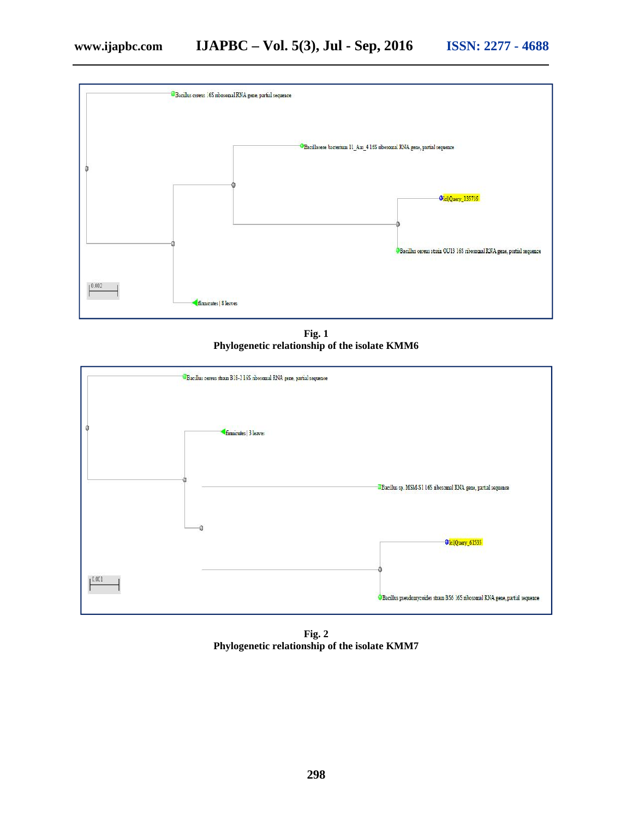

**Fig. 1 Phylogenetic relationship of the isolate KMM6**



**Fig. 2 Phylogenetic relationship of the isolate KMM7**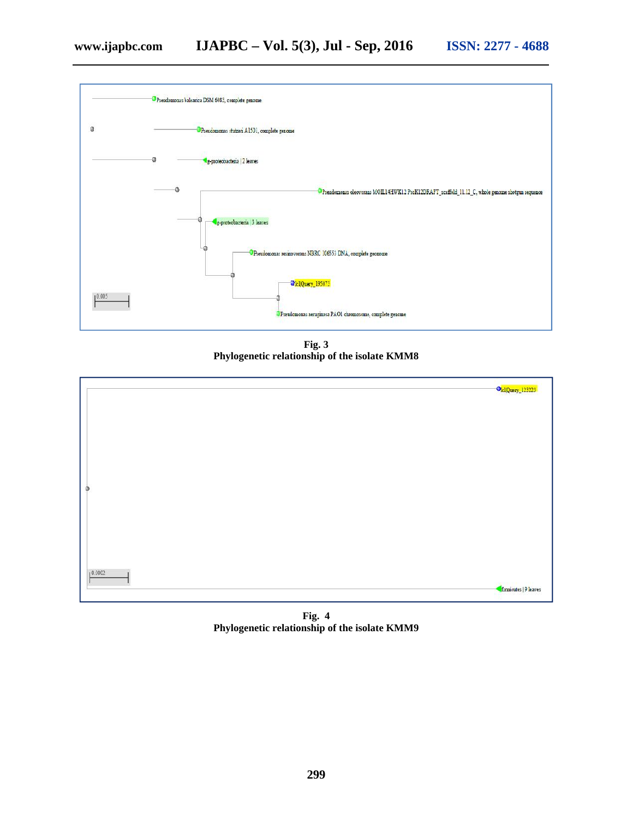

**Fig. 3 Phylogenetic relationship of the isolate KMM8**



**Fig. 4 Phylogenetic relationship of the isolate KMM9**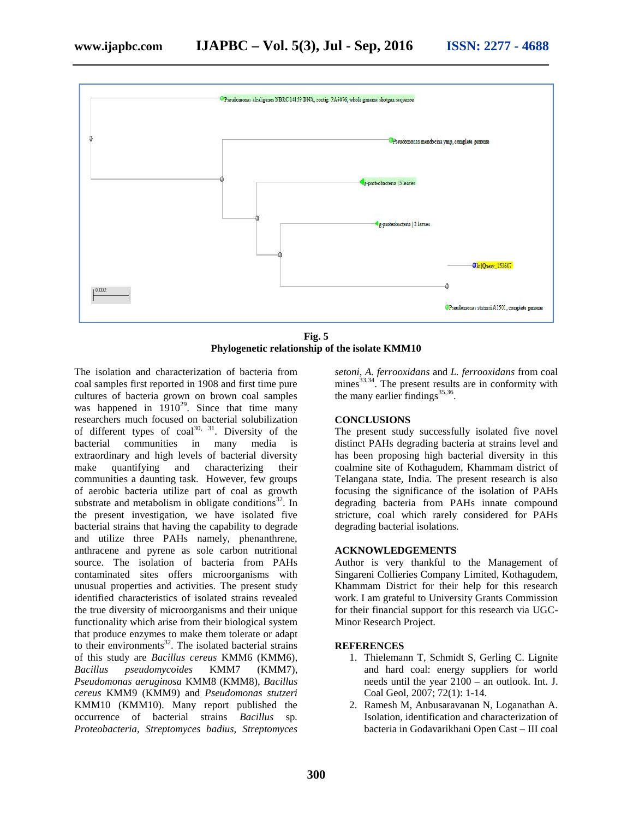

**Fig. 5 Phylogenetic relationship of the isolate KMM10**

The isolation and characterization of bacteria from coal samples first reported in 1908 and first time pure cultures of bacteria grown on brown coal samples was happened in  $1910^{29}$ . Since that time many researchers much focused on bacterial solubilization of different types of  $\text{coal}^{30}$ ,  $\frac{31}{31}$ . Diversity of the bacterial communities in many media is extraordinary and high levels of bacterial diversity make quantifying and characterizing their communities a daunting task. However, few groups of aerobic bacteria utilize part of coal as growth substrate and metabolism in obligate conditions $32$ . In the present investigation, we have isolated five bacterial strains that having the capability to degrade and utilize three PAHs namely, phenanthrene, anthracene and pyrene as sole carbon nutritional source. The isolation of bacteria from PAHs contaminated sites offers microorganisms with unusual properties and activities. The present study identified characteristics of isolated strains revealed the true diversity of microorganisms and their unique functionality which arise from their biological system that produce enzymes to make them tolerate or adapt to their environments<sup>32</sup>. The isolated bacterial strains of this study are *Bacillus cereus* KMM6 (KMM6), *Bacillus pseudomycoides* KMM7 (KMM7), *Pseudomonas aeruginosa* KMM8 (KMM8), *Bacillus cereus* KMM9 (KMM9) and *Pseudomonas stutzeri* KMM10 (KMM10). Many report published the occurrence of bacterial strains *Bacillus* sp*. Proteobacteria, Streptomyces badius, Streptomyces*

*setoni, A. ferrooxidans* and *L. ferrooxidans* from coal mines $^{33,34}$ . The present results are in conformity with the many earlier findings<sup>35,36</sup>. .

#### **CONCLUSIONS**

The present study successfully isolated five novel distinct PAHs degrading bacteria at strains level and has been proposing high bacterial diversity in this coalmine site of Kothagudem, Khammam district of Telangana state, India. The present research is also focusing the significance of the isolation of PAHs degrading bacteria from PAHs innate compound stricture, coal which rarely considered for PAHs degrading bacterial isolations.

#### **ACKNOWLEDGEMENTS**

Author is very thankful to the Management of Singareni Collieries Company Limited, Kothagudem, Khammam District for their help for this research work. I am grateful to University Grants Commission for their financial support for this research via UGC- Minor Research Project.

#### **REFERENCES**

- 1. Thielemann T, Schmidt S, Gerling C. Lignite and hard coal: energy suppliers for world needs until the year 2100 – an outlook. Int. J. Coal Geol, 2007; 72(1): 1-14.
- 2. Ramesh M, Anbusaravanan N, Loganathan A. Isolation, identification and characterization of bacteria in Godavarikhani Open Cast – III coal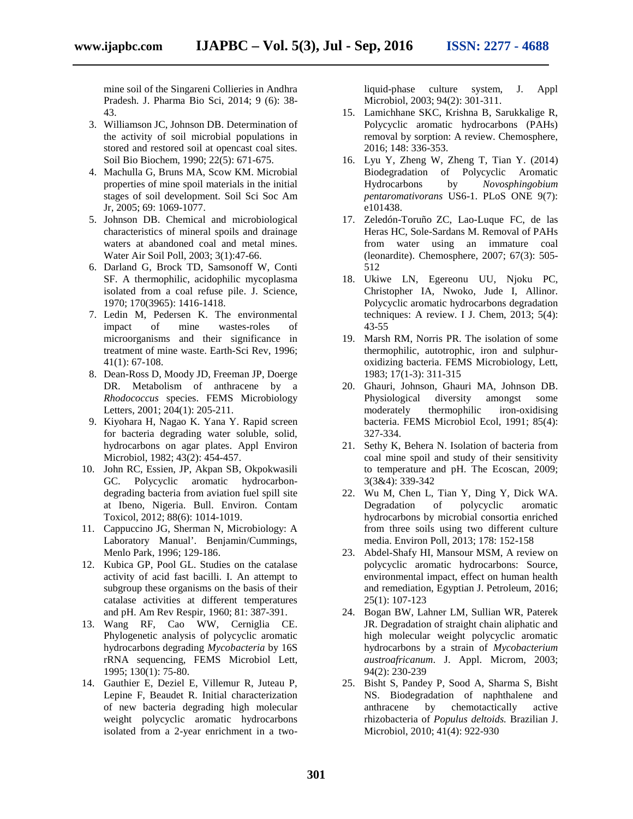mine soil of the Singareni Collieries in Andhra Pradesh. J. Pharma Bio Sci, 2014; 9 (6): 38- 43.

- 3. Williamson JC, Johnson DB. Determination of the activity of soil microbial populations in stored and restored soil at opencast coal sites. Soil Bio Biochem, 1990; 22(5): 671-675.
- 4. Machulla G, Bruns MA, Scow KM. Microbial properties of mine spoil materials in the initial stages of soil development. Soil Sci Soc Am Jr, 2005; 69: 1069-1077.
- 5. Johnson DB. Chemical and microbiological characteristics of mineral spoils and drainage waters at abandoned coal and metal mines. Water Air Soil Poll, 2003; 3(1):47-66.
- 6. Darland G, Brock TD, Samsonoff W, Conti SF. A thermophilic, acidophilic mycoplasma isolated from a coal refuse pile. J. Science, 1970; 170(3965): 1416-1418.
- 7. Ledin M, Pedersen K. The environmental impact of mine wastes-roles of microorganisms and their significance in treatment of mine waste. Earth-Sci Rev, 1996; 41(1): 67-108.
- 8. Dean-Ross D, Moody JD, Freeman JP, Doerge DR. Metabolism of anthracene by a *Rhodococcus* species. FEMS Microbiology Letters, 2001; 204(1): 205-211.
- 9. Kiyohara H, Nagao K. Yana Y. Rapid screen for bacteria degrading water soluble, solid, hydrocarbons on agar plates. Appl Environ Microbiol, 1982; 43(2): 454-457.
- 10. John RC, Essien, JP, Akpan SB, Okpokwasili GC. Polycyclic aromatic hydrocarbon degrading bacteria from aviation fuel spill site at Ibeno, Nigeria. Bull. Environ. Contam Toxicol, 2012; 88(6): 1014-1019.
- 11. Cappuccino JG, Sherman N, Microbiology: A Laboratory Manual'. Benjamin/Cummings, Menlo Park, 1996; 129-186.
- 12. Kubica GP, Pool GL. Studies on the catalase activity of acid fast bacilli. I. An attempt to subgroup these organisms on the basis of their catalase activities at different temperatures and pH. Am Rev Respir, 1960; 81: 387-391.
- 13. Wang RF, Cao WW, Cerniglia CE. Phylogenetic analysis of polycyclic aromatic hydrocarbons degrading *Mycobacteria* by 16S rRNA sequencing, FEMS Microbiol Lett*,* 1995; 130(1): 75-80.
- 14. Gauthier E, Deziel E, Villemur R, Juteau P, Lepine F, Beaudet R. Initial characterization of new bacteria degrading high molecular weight polycyclic aromatic hydrocarbons isolated from a 2-year enrichment in a two-

liquid-phase culture system, J. Appl Microbiol, 2003; 94(2): 301-311.

- 15. Lamichhane SKC, Krishna B, Sarukkalige R, Polycyclic aromatic hydrocarbons (PAHs) removal by sorption: A review. Chemosphere, 2016; 148: 336-353.
- 16. Lyu Y, Zheng W, Zheng T, Tian Y. (2014) Biodegradation of Polycyclic Aromatic Hydrocarbons by *Novosphingobium pentaromativorans* US6-1. PLoS ONE 9(7): e101438.
- 17. Zeledón-Toruño ZC, Lao-Luque FC, de las Heras HC, Sole-Sardans M. Removal of PAHs from water using an immature coal (leonardite). Chemosphere, 2007; 67(3): 505- 512
- 18. Ukiwe LN, Egereonu UU, Njoku PC, Christopher IA, Nwoko, Jude I, Allinor. Polycyclic aromatic hydrocarbons degradation techniques: A review. I J. Chem, 2013; 5(4): 43-55
- 19. Marsh RM, Norris PR. The isolation of some thermophilic, autotrophic, iron and sulphur oxidizing bacteria. FEMS Microbiology, Lett, 1983; 17(1-3): 311-315
- 20. Ghauri, Johnson, Ghauri MA, Johnson DB. Physiological diversity amongst some moderately thermophilic iron-oxidising bacteria. FEMS Microbiol Ecol, 1991; 85(4): 327-334.
- 21. Sethy K, Behera N. Isolation of bacteria from coal mine spoil and study of their sensitivity to temperature and pH. The Ecoscan, 2009; 3(3&4): 339-342
- 22. Wu M, Chen L, Tian Y, Ding Y, Dick WA. Degradation of polycyclic aromatic hydrocarbons by microbial consortia enriched from three soils using two different culture media. Environ Poll, 2013; 178: 152-158
- 23. Abdel-Shafy HI, Mansour MSM, A review on polycyclic aromatic hydrocarbons: Source, environmental impact, effect on human health and remediation, Egyptian J. Petroleum, 2016; 25(1): 107-123
- 24. Bogan BW, Lahner LM, Sullian WR, Paterek JR. Degradation of straight chain aliphatic and high molecular weight polycyclic aromatic hydrocarbons by a strain of *Mycobacterium austroafricanum*. J. Appl. Microm, 2003; 94(2): 230-239
- 25. Bisht S, Pandey P, Sood A, Sharma S, Bisht NS. Biodegradation of naphthalene and anthracene by chemotactically active rhizobacteria of *Populus deltoids.* Brazilian J. Microbiol, 2010; 41(4): 922-930